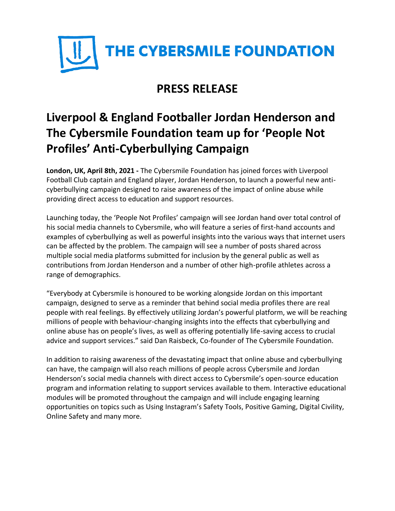

## **PRESS RELEASE**

## **Liverpool & England Footballer Jordan Henderson and The Cybersmile Foundation team up for 'People Not Profiles' Anti-Cyberbullying Campaign**

**London, UK, April 8th, 2021 -** The Cybersmile Foundation has joined forces with Liverpool Football Club captain and England player, Jordan Henderson, to launch a powerful new anticyberbullying campaign designed to raise awareness of the impact of online abuse while providing direct access to education and support resources.

Launching today, the 'People Not Profiles' campaign will see Jordan hand over total control of his social media channels to Cybersmile, who will feature a series of first-hand accounts and examples of cyberbullying as well as powerful insights into the various ways that internet users can be affected by the problem. The campaign will see a number of posts shared across multiple social media platforms submitted for inclusion by the general public as well as contributions from Jordan Henderson and a number of other high-profile athletes across a range of demographics.

"Everybody at Cybersmile is honoured to be working alongside Jordan on this important campaign, designed to serve as a reminder that behind social media profiles there are real people with real feelings. By effectively utilizing Jordan's powerful platform, we will be reaching millions of people with behaviour-changing insights into the effects that cyberbullying and online abuse has on people's lives, as well as offering potentially life-saving access to crucial advice and support services." said Dan Raisbeck, Co-founder of The Cybersmile Foundation.

In addition to raising awareness of the devastating impact that online abuse and cyberbullying can have, the campaign will also reach millions of people across Cybersmile and Jordan Henderson's social media channels with direct access to Cybersmile's open-source education program and information relating to support services available to them. Interactive educational modules will be promoted throughout the campaign and will include engaging learning opportunities on topics such as Using Instagram's Safety Tools, Positive Gaming, Digital Civility, Online Safety and many more.